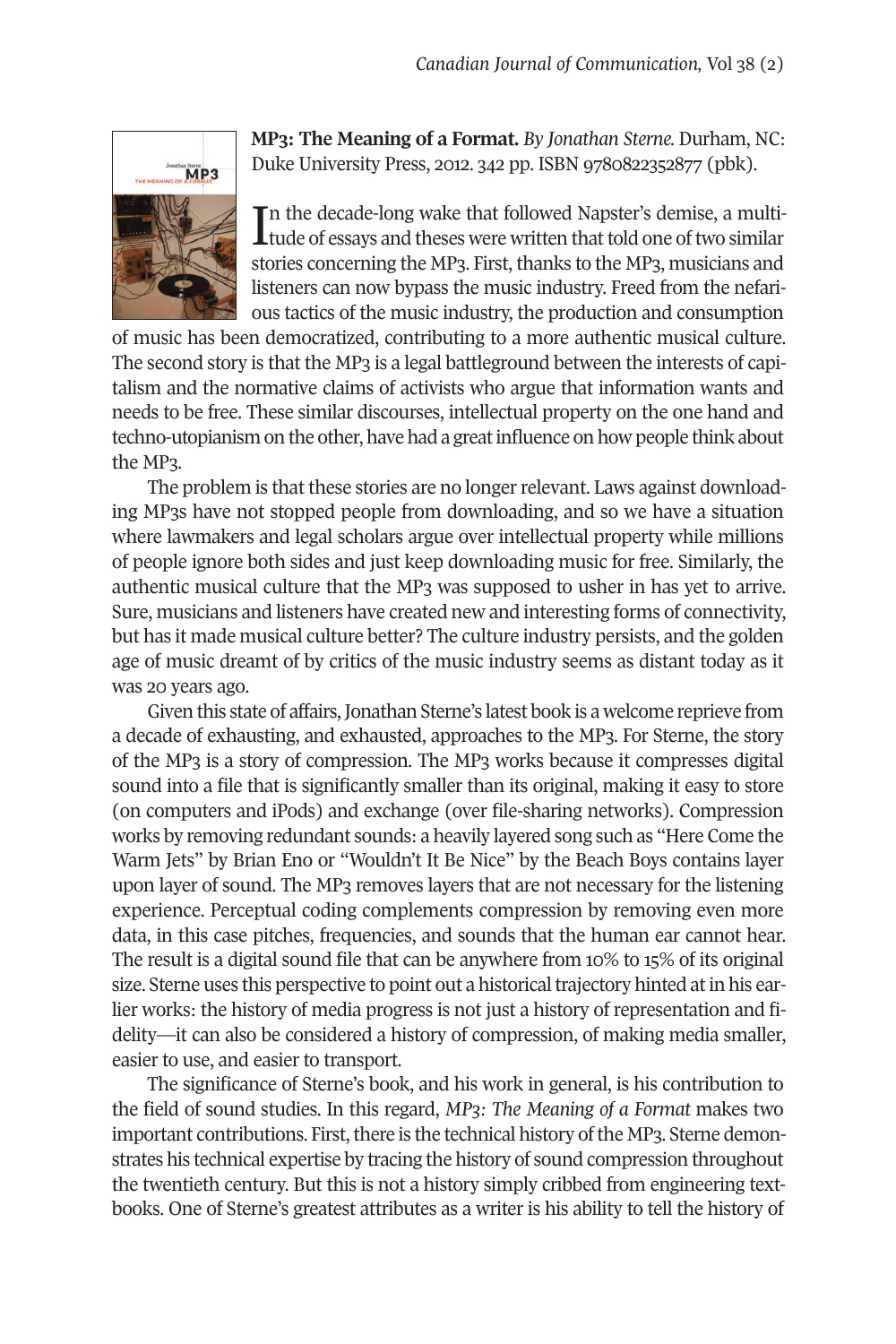

**MP3: The Meaning of a Format.** *By Jonathan Sterne.* Durham, NC: Duke University Press, 2012. 342 pp. ISBN 9780822352877 (pbk).

In the decade-long wake that followed Napster's demise, a multitude of essays and theses were written that told one of two similar n the decade-long wake that followed Napster's demise, a multistories concerning the MP3. First, thanks to the MP3, musicians and listeners can now bypass the music industry. Freed from the nefarious tactics of the music industry, the production and consumption

of music has been democratized, contributing to a more authentic musical culture. The second story is that the MP3 is a legal battleground between the interests of capitalism and the normative claims of activists who argue that information wants and needs to be free. These similar discourses, intellectual property on the one hand and techno-utopianism on the other, have had a great influence on how people think about the MP3.

The problem is that these stories are no longer relevant. Laws against downloading MP3s have not stopped people from downloading, and so we have a situation where lawmakers and legal scholars argue over intellectual property while millions of people ignore both sides and just keep downloading music for free. Similarly, the authentic musical culture that the MP3 was supposed to usher in has yet to arrive. Sure, musicians and listeners have created new and interesting forms of connectivity, but has it made musical culture better? The culture industry persists, and the golden age of music dreamt of by critics of the music industry seems as distant today as it was 20 years ago.

Given this state of affairs, Jonathan Sterne's latest book is a welcome reprieve from a decade of exhausting, and exhausted, approaches to the MP3. For Sterne, the story of the MP3 is a story of compression. The MP3 works because it compresses digital sound into a file that is significantly smaller than its original, making it easy to store (on computers and iPods) and exchange (over file-sharing networks). Compression works by removing redundant sounds: a heavily layered song such as "Here Come the Warm Jets" by Brian Eno or "Wouldn't It Be Nice" by the Beach Boys contains layer upon layer of sound. The MP3 removes layers that are not necessary for the listening experience. Perceptual coding complements compression by removing even more data, in this case pitches, frequencies, and sounds that the human ear cannot hear. The result is a digital sound file that can be anywhere from 10% to 15% of its original size. Sterne uses this perspective to point out a historical trajectory hinted at in his earlier works: the history of media progress is not just a history of representation and fidelity—it can also be considered a history of compression, of making media smaller, easier to use, and easier to transport.

The significance of Sterne's book, and his work in general, is his contribution to the field of sound studies. In this regard, *MP3: The Meaning of a Format* makes two important contributions. First, there is the technical history of the MP3. Sterne demonstrates his technical expertise by tracing the history of sound compression throughout the twentieth century. But this is not a history simply cribbed from engineering textbooks. One of Sterne's greatest attributes as a writer is his ability to tell the history of